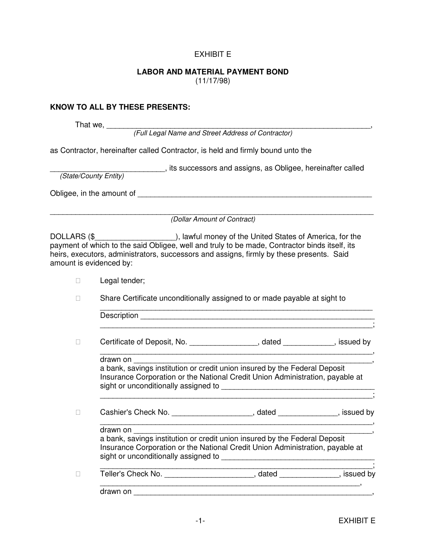# EXHIBIT E

#### **LABOR AND MATERIAL PAYMENT BOND** (11/17/98)

### **KNOW TO ALL BY THESE PRESENTS:**

That we, \_\_\_\_\_\_\_\_\_\_\_\_\_\_\_\_\_\_\_\_\_\_\_\_\_\_\_\_\_\_\_\_\_\_\_\_\_\_\_\_\_\_\_\_\_\_\_\_\_\_\_\_\_\_\_\_\_\_\_\_\_\_,

(Full Legal Name and Street Address of Contractor)

as Contractor, hereinafter called Contractor, is held and firmly bound unto the

\_\_\_\_\_\_\_\_\_\_\_\_\_\_\_\_\_\_\_\_\_\_\_\_\_\_\_, its successors and assigns, as Obligee, hereinafter called (State/County Entity) Obligee, in the amount of  $\Box$ \_\_\_\_\_\_\_\_\_\_\_\_\_\_\_\_\_\_\_\_\_\_\_\_\_\_\_\_\_\_\_\_\_\_\_\_\_\_\_\_\_\_\_\_\_\_\_\_\_\_\_\_\_\_\_\_\_\_\_\_\_\_\_\_\_\_\_\_\_\_\_\_\_\_\_\_ (Dollar Amount of Contract) DOLLARS (\$\_\_\_\_\_\_\_\_\_\_\_\_\_\_\_\_\_\_\_\_\_\_\_\_), lawful money of the United States of America, for the payment of which to the said Obligee, well and truly to be made, Contractor binds itself, its heirs, executors, administrators, successors and assigns, firmly by these presents. Said amount is evidenced by: Legal tender; Share Certificate unconditionally assigned to or made payable at sight to \_\_\_\_\_\_\_\_\_\_\_\_\_\_\_\_\_\_\_\_\_\_\_\_\_\_\_\_\_\_\_\_\_\_\_\_\_\_\_\_\_\_\_\_\_\_\_\_\_\_\_\_\_\_\_\_\_\_\_\_\_\_\_\_ Description **Example 20** and 20 and 20 and 20 and 20 and 20 and 20 and 20 and 20 and 20 and 20 and 20 and 20 and 20 and 20 and 20 and 20 and 20 and 20 and 20 and 20 and 20 and 20 and 20 and 20 and 20 and 20 and 20 and 20 a \_\_\_\_\_\_\_\_\_\_\_\_\_\_\_\_\_\_\_\_\_\_\_\_\_\_\_\_\_\_\_\_\_\_\_\_\_\_\_\_\_\_\_\_\_\_\_\_\_\_\_\_\_\_\_\_\_\_\_\_\_\_\_\_; Certificate of Deposit, No. \_\_\_\_\_\_\_\_\_\_\_\_\_\_\_\_\_\_, dated \_\_\_\_\_\_\_\_\_\_, issued by \_\_\_\_\_\_\_\_\_\_\_\_\_\_\_\_\_\_\_\_\_\_\_\_\_\_\_\_\_\_\_\_\_\_\_\_\_\_\_\_\_\_\_\_\_\_\_\_\_\_\_\_\_\_\_\_\_\_\_\_\_\_\_\_, drawn on a bank, savings institution or credit union insured by the Federal Deposit Insurance Corporation or the National Credit Union Administration, payable at sight or unconditionally assigned to **with an all of the set of the set of the set of the set of the set of the set of the set of the set of the set of the set of the set of the set of the set of the set of the set of the**  \_\_\_\_\_\_\_\_\_\_\_\_\_\_\_\_\_\_\_\_\_\_\_\_\_\_\_\_\_\_\_\_\_\_\_\_\_\_\_\_\_\_\_\_\_\_\_\_\_\_\_\_\_\_\_\_\_\_\_\_\_\_\_\_; Cashier's Check No. \_\_\_\_\_\_\_\_\_\_\_\_\_\_\_\_\_\_\_\_\_, dated \_\_\_\_\_\_\_\_\_\_\_\_\_\_\_, issued by \_\_\_\_\_\_\_\_\_\_\_\_\_\_\_\_\_\_\_\_\_\_\_\_\_\_\_\_\_\_\_\_\_\_\_\_\_\_\_\_\_\_\_\_\_\_\_\_\_\_\_\_\_\_\_\_\_\_\_\_\_\_\_\_, drawn on \_\_\_\_\_\_\_\_\_\_\_\_\_\_\_\_\_\_\_\_\_\_\_\_\_\_\_\_\_\_\_\_\_\_\_\_\_\_\_\_\_\_\_\_\_\_\_\_\_\_\_\_\_\_\_\_, a bank, savings institution or credit union insured by the Federal Deposit Insurance Corporation or the National Credit Union Administration, payable at sight or unconditionally assigned to \_\_\_\_\_\_\_\_\_\_\_\_\_\_\_\_\_\_\_\_\_\_\_\_\_\_\_\_\_\_\_\_\_\_\_\_ \_\_\_\_\_\_\_\_\_\_\_\_\_\_\_\_\_\_\_\_\_\_\_\_\_\_\_\_\_\_\_\_\_\_\_\_\_\_\_\_\_\_\_\_\_\_\_\_\_\_\_\_\_\_\_\_\_\_\_\_\_\_\_\_; Teller's Check No. \_\_\_\_\_\_\_\_\_\_\_\_\_\_\_\_\_\_\_\_\_\_, dated \_\_\_\_\_\_\_\_\_\_\_\_, issued by \_\_\_\_\_\_\_\_\_\_\_\_\_\_\_\_\_\_\_\_\_\_\_\_\_\_\_\_\_\_\_\_\_\_\_\_\_\_\_\_\_\_\_\_\_\_\_\_\_\_\_\_\_\_\_\_\_\_\_\_\_,  $d$ rawn on  $\overline{\phantom{a}}$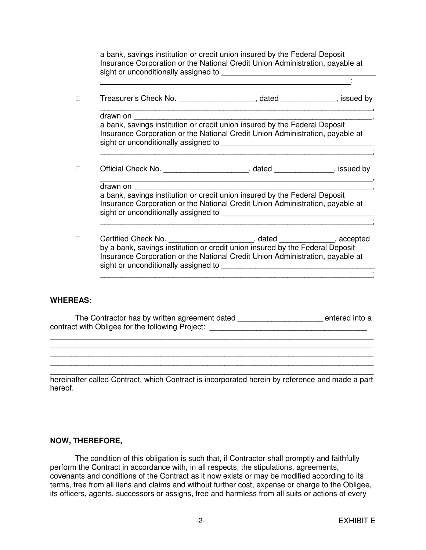a bank, savings institution or credit union insured by the Federal Deposit Insurance Corporation or the National Credit Union Administration, payable at sight or unconditionally assigned to

 $\overline{\phantom{a}}$  ; and the contract of the contract of the contract of the contract of the contract of the contract of the contract of the contract of the contract of the contract of the contract of the contract of the contrac

Treasurer's Check No. \_\_\_\_\_\_\_\_\_\_\_\_\_\_\_\_\_\_\_\_, dated \_\_\_\_\_\_\_\_\_\_\_\_\_, issued by

 \_\_\_\_\_\_\_\_\_\_\_\_\_\_\_\_\_\_\_\_\_\_\_\_\_\_\_\_\_\_\_\_\_\_\_\_\_\_\_\_\_\_\_\_\_\_\_\_\_\_\_\_\_\_\_\_\_\_\_\_\_\_\_\_, drawn on **weight** 

 a bank, savings institution or credit union insured by the Federal Deposit Insurance Corporation or the National Credit Union Administration, payable at sight or unconditionally assigned to \_\_\_\_\_\_\_\_\_\_\_\_\_\_\_\_\_\_\_\_\_\_\_\_\_\_\_\_\_\_\_\_\_\_\_\_

\_\_\_\_\_\_\_\_\_\_\_\_\_\_\_\_\_\_\_\_\_\_\_\_\_\_\_\_\_\_\_\_\_\_\_\_\_\_\_\_\_\_\_\_\_\_\_\_\_\_\_\_\_\_\_\_\_\_\_\_\_\_\_\_;

\_\_\_\_\_\_\_\_\_\_\_\_\_\_\_\_\_\_\_\_\_\_\_\_\_\_\_\_\_\_\_\_\_\_\_\_\_\_\_\_\_\_\_\_\_\_\_\_\_\_\_\_\_\_\_\_\_\_\_\_\_\_\_\_;

Official Check No. \_\_\_\_\_\_\_\_\_\_\_\_\_\_\_\_\_\_\_\_\_\_, dated \_\_\_\_\_\_\_\_\_\_\_\_\_, issued by

 \_\_\_\_\_\_\_\_\_\_\_\_\_\_\_\_\_\_\_\_\_\_\_\_\_\_\_\_\_\_\_\_\_\_\_\_\_\_\_\_\_\_\_\_\_\_\_\_\_\_\_\_\_\_\_\_\_\_\_\_\_\_\_\_, drawn on \_\_\_\_\_\_\_\_\_\_\_\_\_\_\_\_\_\_\_\_\_\_\_\_\_\_\_\_\_\_\_\_\_\_\_\_\_\_\_\_\_\_\_\_\_\_\_\_\_\_\_\_\_\_\_\_,

 a bank, savings institution or credit union insured by the Federal Deposit Insurance Corporation or the National Credit Union Administration, payable at sight or unconditionally assigned to \_\_\_\_\_\_\_\_\_\_\_\_\_\_\_\_\_\_\_\_\_\_\_\_\_\_\_\_\_\_\_\_\_\_\_\_

 Certified Check No. \_\_\_\_\_\_\_\_\_\_\_\_\_\_\_\_\_\_\_\_, dated \_\_\_\_\_\_\_\_\_\_\_\_\_, accepted by a bank, savings institution or credit union insured by the Federal Deposit Insurance Corporation or the National Credit Union Administration, payable at sight or unconditionally assigned to \_\_\_\_\_\_\_\_\_\_\_\_\_\_\_\_\_\_\_\_\_\_\_\_\_\_\_\_\_\_\_\_\_\_\_\_  $\ddot{\phantom{\phi}}$  , and the contract of the contract of the contract of the contract of  $\ddot{\phantom{\phi}}$  ;

# **WHEREAS:**

The Contractor has by written agreement dated \_\_\_\_\_\_\_\_\_\_\_\_\_\_\_\_\_\_\_\_\_\_\_\_\_ entered into a contract with Obligee for the following Project: \_\_\_\_\_\_\_\_\_\_\_\_\_\_\_\_\_\_\_\_\_\_\_\_\_\_\_\_\_\_\_ \_\_\_\_\_\_\_\_\_\_\_\_\_\_\_\_\_\_\_\_\_\_\_\_\_\_\_\_\_\_\_\_\_\_\_\_\_\_\_\_\_\_\_\_\_\_\_\_\_\_\_\_\_\_\_\_\_\_\_\_\_\_\_\_\_\_\_\_\_\_\_\_\_\_\_\_

\_\_\_\_\_\_\_\_\_\_\_\_\_\_\_\_\_\_\_\_\_\_\_\_\_\_\_\_\_\_\_\_\_\_\_\_\_\_\_\_\_\_\_\_\_\_\_\_\_\_\_\_\_\_\_\_\_\_\_\_\_\_\_\_\_\_\_\_\_\_\_\_\_\_\_\_

\_\_\_\_\_\_\_\_\_\_\_\_\_\_\_\_\_\_\_\_\_\_\_\_\_\_\_\_\_\_\_\_\_\_\_\_\_\_\_\_\_\_\_\_\_\_\_\_\_\_\_\_\_\_\_\_\_\_\_\_\_\_\_\_\_\_\_\_\_\_\_\_\_\_\_\_ hereinafter called Contract, which Contract is incorporated herein by reference and made a part hereof.

\_\_\_\_\_\_\_\_\_\_\_\_\_\_\_\_\_\_\_\_\_\_\_\_\_\_\_\_\_\_\_\_\_\_\_\_\_\_\_\_\_\_\_\_\_\_\_\_\_\_\_\_\_\_\_\_\_\_\_\_\_\_\_\_\_\_\_\_\_\_\_\_\_\_\_\_

# **NOW, THEREFORE,**

 The condition of this obligation is such that, if Contractor shall promptly and faithfully perform the Contract in accordance with, in all respects, the stipulations, agreements, covenants and conditions of the Contract as it now exists or may be modified according to its terms, free from all liens and claims and without further cost, expense or charge to the Obligee, its officers, agents, successors or assigns, free and harmless from all suits or actions of every